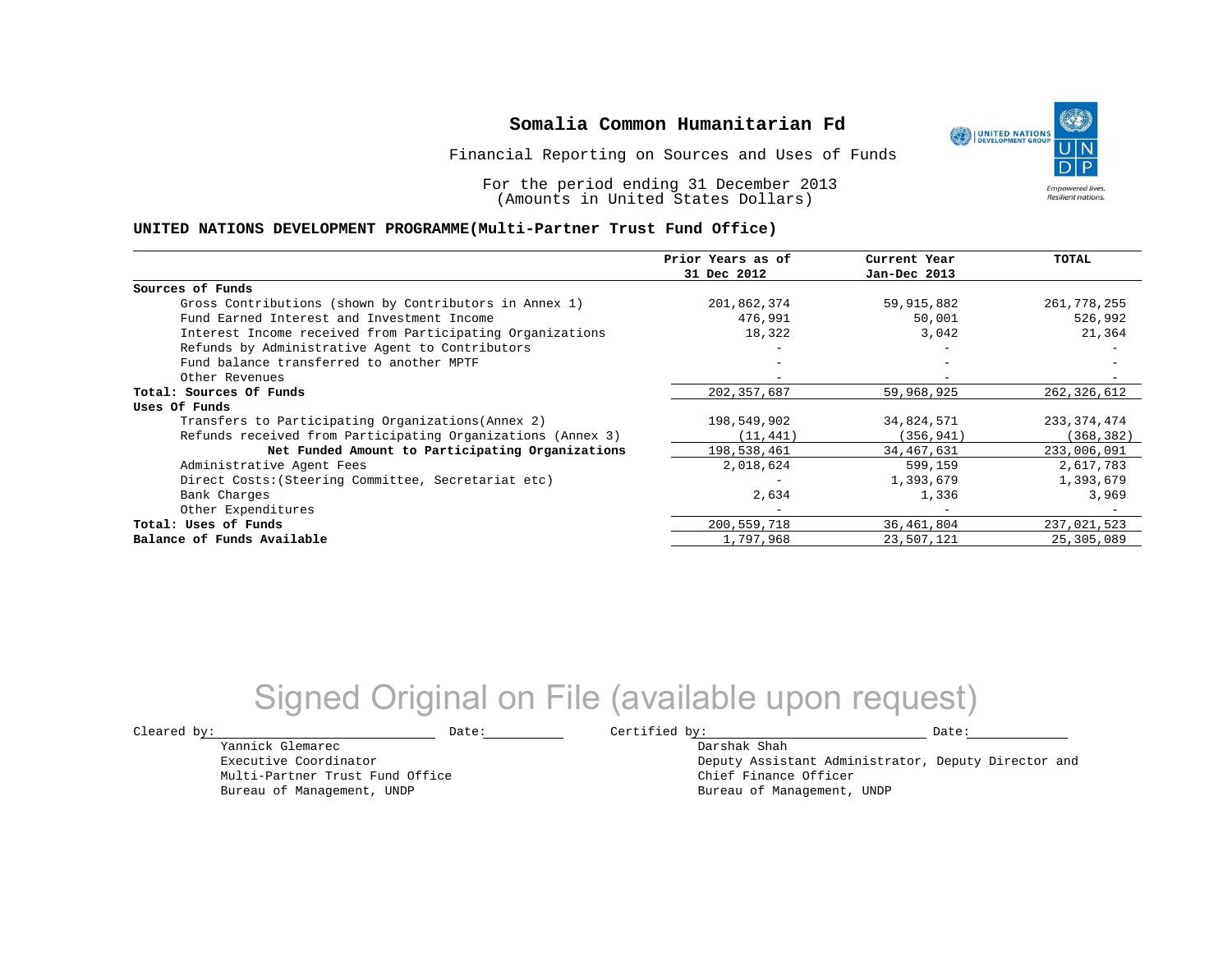Financial Reporting on Sources and Uses of Funds

For the period ending 31 December 2013 (Amounts in United States Dollars)

#### **UNITED NATIONS DEVELOPMENT PROGRAMME(Multi-Partner Trust Fund Office)**

|                                                             | Prior Years as of | Current Year | <b>TOTAL</b>  |
|-------------------------------------------------------------|-------------------|--------------|---------------|
|                                                             | 31 Dec 2012       | Jan-Dec 2013 |               |
| Sources of Funds                                            |                   |              |               |
| Gross Contributions (shown by Contributors in Annex 1)      | 201,862,374       | 59,915,882   | 261,778,255   |
| Fund Earned Interest and Investment Income                  | 476,991           | 50,001       | 526,992       |
| Interest Income received from Participating Organizations   | 18,322            | 3,042        | 21,364        |
| Refunds by Administrative Agent to Contributors             |                   |              |               |
| Fund balance transferred to another MPTF                    |                   |              |               |
| Other Revenues                                              |                   |              |               |
| Total: Sources Of Funds                                     | 202, 357, 687     | 59,968,925   | 262,326,612   |
| Uses Of Funds                                               |                   |              |               |
| Transfers to Participating Organizations (Annex 2)          | 198,549,902       | 34,824,571   | 233, 374, 474 |
| Refunds received from Participating Organizations (Annex 3) | (11, 441)         | (356, 941)   | (368, 382)    |
| Net Funded Amount to Participating Organizations            | 198,538,461       | 34,467,631   | 233,006,091   |
| Administrative Agent Fees                                   | 2,018,624         | 599,159      | 2,617,783     |
| Direct Costs: (Steering Committee, Secretariat etc)         |                   | 1,393,679    | 1,393,679     |
| Bank Charges                                                | 2,634             | 1,336        | 3,969         |
| Other Expenditures                                          |                   | $-$          |               |
| Total: Uses of Funds                                        | 200,559,718       | 36,461,804   | 237,021,523   |
| Balance of Funds Available                                  | 1,797,968         | 23,507,121   | 25,305,089    |

## Signed Original on File (available upon request)

Yannick Glemarec Executive Coordinator Multi-Partner Trust Fund Office Bureau of Management, UNDP

 $\texttt{Cleared by:}\footnotesize \begin{minipage}{0.9\linewidth} \texttt{Date:}\footnotesize \begin{minipage}{0.9\linewidth} \texttt{Date:}\footnotesize \begin{minipage}{0.9\linewidth} \end{minipage} \end{minipage}$ 

Darshak Shah

Deputy Assistant Administrator, Deputy Director and Chief Finance Officer Bureau of Management, UNDP

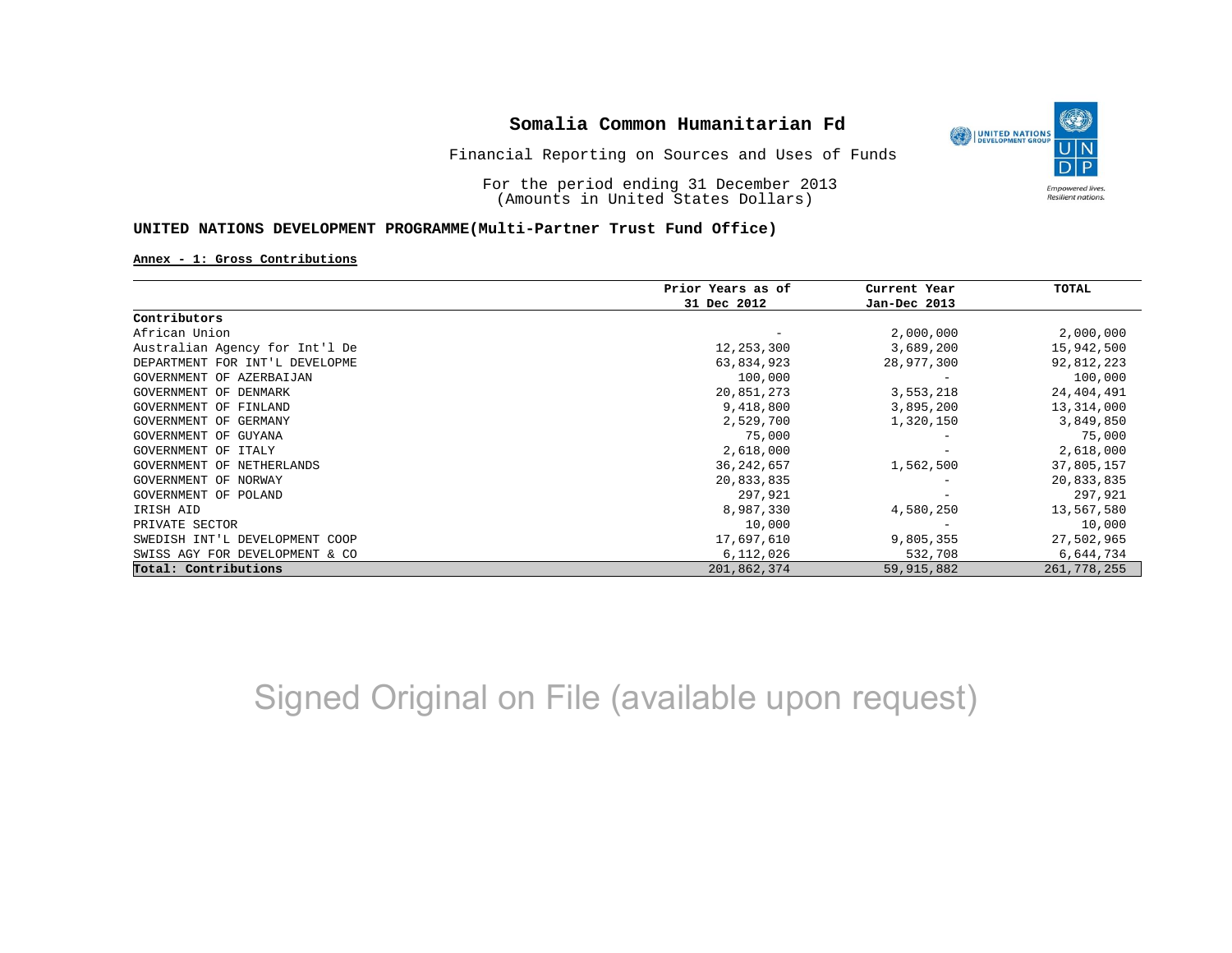

For the period ending 31 December 2013 (Amounts in United States Dollars)

#### **UNITED NATIONS DEVELOPMENT PROGRAMME(Multi-Partner Trust Fund Office)**

#### **Annex - 1: Gross Contributions**

|                                | Prior Years as of | Current Year | TOTAL       |
|--------------------------------|-------------------|--------------|-------------|
|                                | 31 Dec 2012       | Jan-Dec 2013 |             |
| Contributors                   |                   |              |             |
| African Union                  |                   | 2,000,000    | 2,000,000   |
| Australian Agency for Int'l De | 12,253,300        | 3,689,200    | 15,942,500  |
| DEPARTMENT FOR INT'L DEVELOPME | 63,834,923        | 28,977,300   | 92,812,223  |
| GOVERNMENT OF AZERBAIJAN       | 100,000           |              | 100,000     |
| GOVERNMENT OF<br>DENMARK       | 20,851,273        | 3,553,218    | 24,404,491  |
| GOVERNMENT OF FINLAND          | 9,418,800         | 3,895,200    | 13,314,000  |
| GOVERNMENT OF GERMANY          | 2,529,700         | 1,320,150    | 3,849,850   |
| GOVERNMENT OF GUYANA           | 75,000            |              | 75,000      |
| GOVERNMENT OF ITALY            | 2,618,000         |              | 2,618,000   |
| GOVERNMENT OF NETHERLANDS      | 36, 242, 657      | 1,562,500    | 37,805,157  |
| GOVERNMENT OF NORWAY           | 20,833,835        |              | 20,833,835  |
| GOVERNMENT OF POLAND           | 297,921           |              | 297,921     |
| IRISH AID                      | 8,987,330         | 4,580,250    | 13,567,580  |
| PRIVATE SECTOR                 | 10,000            |              | 10,000      |
| SWEDISH INT'L DEVELOPMENT COOP | 17,697,610        | 9,805,355    | 27,502,965  |
| SWISS AGY FOR DEVELOPMENT & CO | 6,112,026         | 532,708      | 6,644,734   |
| Total: Contributions           | 201,862,374       | 59, 915, 882 | 261,778,255 |

# Signed Original on File (available upon request)

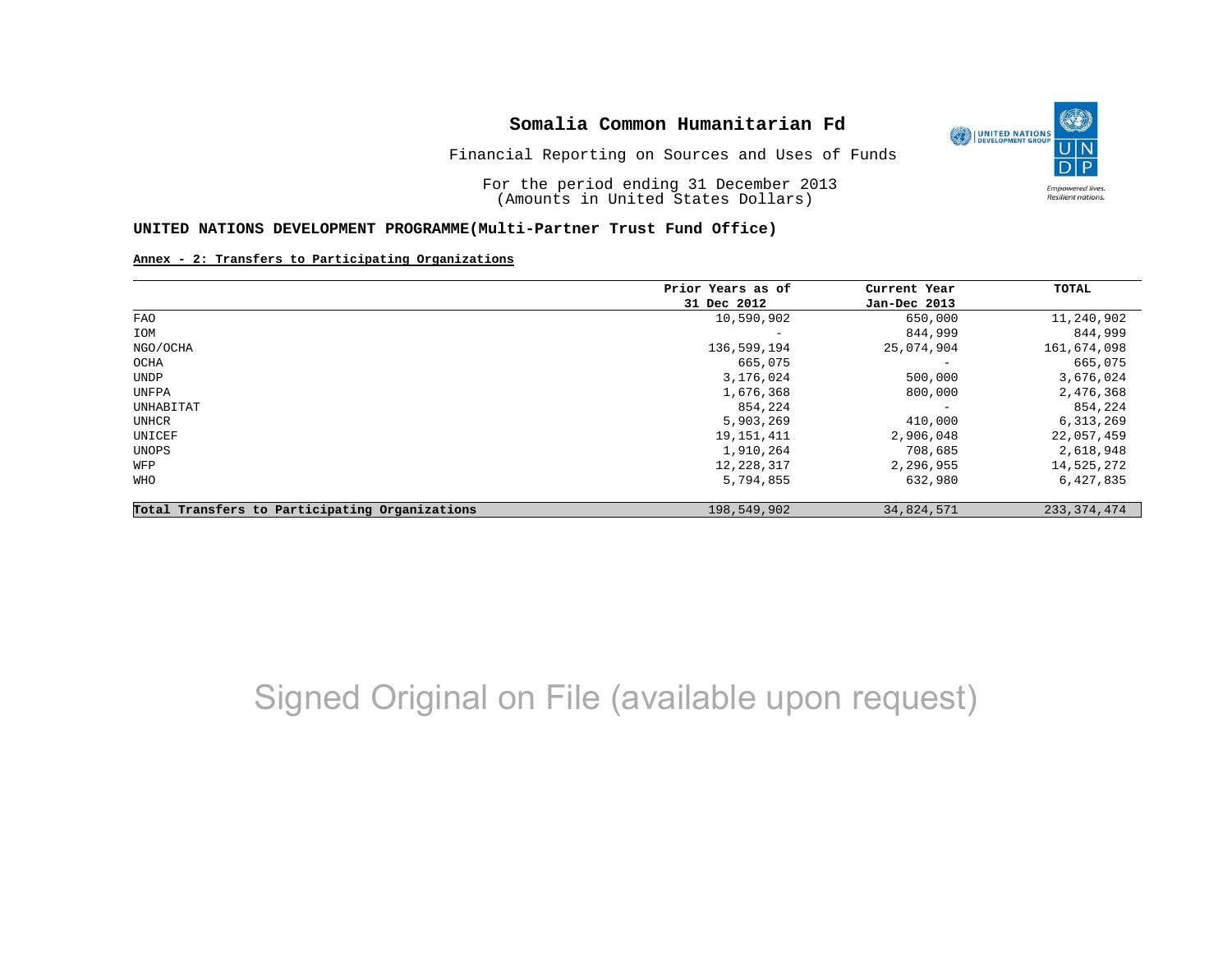

Financial Reporting on Sources and Uses of Funds

For the period ending 31 December 2013 (Amounts in United States Dollars)

#### **UNITED NATIONS DEVELOPMENT PROGRAMME(Multi-Partner Trust Fund Office)**

#### **Annex - 2: Transfers to Participating Organizations**

|                                                | Prior Years as of | Current Year<br>Jan-Dec 2013 | <b>TOTAL</b>  |
|------------------------------------------------|-------------------|------------------------------|---------------|
|                                                | 31 Dec 2012       |                              |               |
| FAO                                            | 10,590,902        | 650,000                      | 11,240,902    |
| IOM                                            |                   | 844,999                      | 844,999       |
| NGO/OCHA                                       | 136,599,194       | 25,074,904                   | 161,674,098   |
| OCHA                                           | 665,075           | $\overline{\phantom{0}}$     | 665,075       |
| UNDP                                           | 3,176,024         | 500,000                      | 3,676,024     |
| UNFPA                                          | 1,676,368         | 800,000                      | 2,476,368     |
| UNHABITAT                                      | 854,224           | $\overline{\phantom{0}}$     | 854,224       |
| UNHCR                                          | 5,903,269         | 410,000                      | 6,313,269     |
| UNICEF                                         | 19, 151, 411      | 2,906,048                    | 22,057,459    |
| UNOPS                                          | 1,910,264         | 708,685                      | 2,618,948     |
| WFP                                            | 12,228,317        | 2,296,955                    | 14,525,272    |
| <b>WHO</b>                                     | 5,794,855         | 632,980                      | 6,427,835     |
| Total Transfers to Participating Organizations | 198,549,902       | 34,824,571                   | 233, 374, 474 |

## Signed Original on File (available upon request)